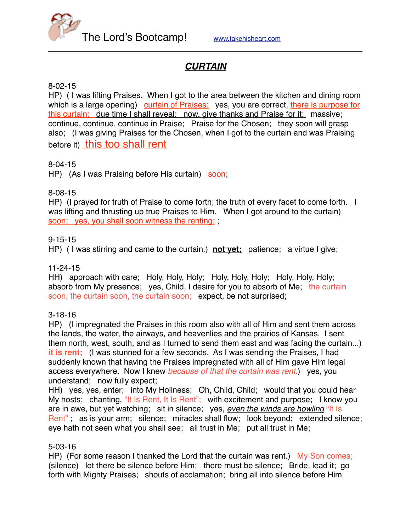The Lord's Bootcamp! [www.takehisheart.com](http://www.takehisheart.com)

# *CURTAIN*

# 8-02-15

HP) ( I was lifting Praises. When I got to the area between the kitchen and dining room which is a large opening) curtain of Praises; yes, you are correct, there is purpose for this curtain; due time I shall reveal; now, give thanks and Praise for it; massive; continue, continue, continue in Praise; Praise for the Chosen; they soon will grasp also; (I was giving Praises for the Chosen, when I got to the curtain and was Praising before it) this too shall rent

## 8-04-15

HP) (As I was Praising before His curtain) soon;

## 8-08-15

HP) (I prayed for truth of Praise to come forth; the truth of every facet to come forth. I was lifting and thrusting up true Praises to Him. When I got around to the curtain) soon; yes, you shall soon witness the renting; ;

## 9-15-15

HP) ( I was stirring and came to the curtain.) **not yet;** patience; a virtue I give;

#### 11-24-15

HH) approach with care; Holy, Holy, Holy; Holy, Holy, Holy; Holy, Holy, Holy; absorb from My presence; yes, Child, I desire for you to absorb of Me; the curtain soon, the curtain soon, the curtain soon; expect, be not surprised;

#### 3-18-16

HP) (I impregnated the Praises in this room also with all of Him and sent them across the lands, the water, the airways, and heavenlies and the prairies of Kansas. I sent them north, west, south, and as I turned to send them east and was facing the curtain...) **it is rent;** (I was stunned for a few seconds. As I was sending the Praises, I had suddenly known that having the Praises impregnated with all of Him gave Him legal access everywhere. Now I knew *because of that the curtain was rent.*) yes, you understand; now fully expect;

HH) yes, yes, enter; into My Holiness; Oh, Child, Child; would that you could hear My hosts; chanting, "It Is Rent, It Is Rent"; with excitement and purpose; I know you are in awe, but yet watching; sit in silence; yes, *even the winds are howling* "It Is Rent"; as is your arm; silence; miracles shall flow; look beyond; extended silence; eye hath not seen what you shall see; all trust in Me; put all trust in Me;

#### 5-03-16

HP) (For some reason I thanked the Lord that the curtain was rent.) My Son comes; (silence) let there be silence before Him; there must be silence; Bride, lead it; go forth with Mighty Praises; shouts of acclamation; bring all into silence before Him